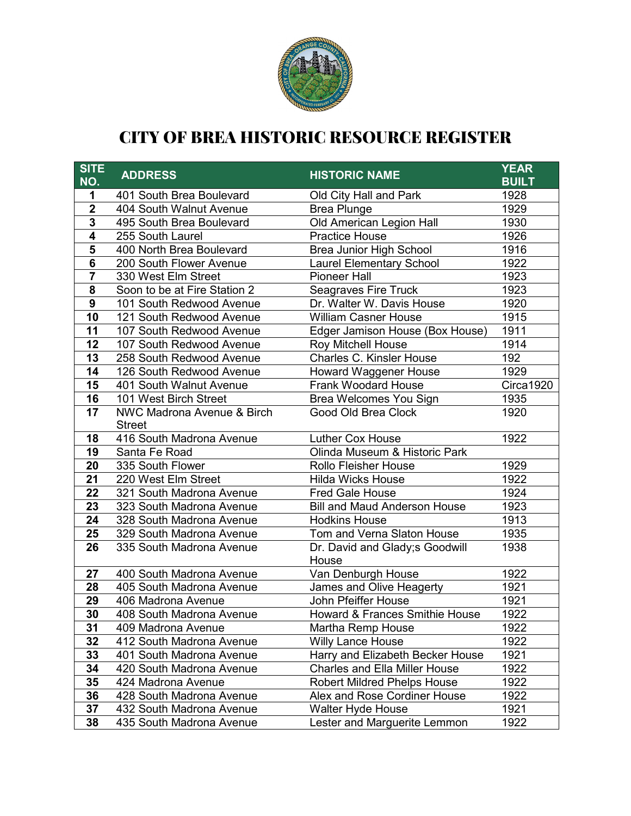

## CITY OF BREA HISTORIC RESOURCE REGISTER

| <b>SITE</b><br>NO.      | <b>ADDRESS</b>               | <b>HISTORIC NAME</b>                      | <b>YEAR</b><br><b>BUILT</b> |
|-------------------------|------------------------------|-------------------------------------------|-----------------------------|
| 1                       | 401 South Brea Boulevard     | Old City Hall and Park                    | 1928                        |
| $\overline{\mathbf{2}}$ | 404 South Walnut Avenue      | <b>Brea Plunge</b>                        | 1929                        |
| 3                       | 495 South Brea Boulevard     | Old American Legion Hall                  | 1930                        |
| $\overline{4}$          | 255 South Laurel             | <b>Practice House</b>                     | 1926                        |
| $\overline{\mathbf{5}}$ | 400 North Brea Boulevard     | <b>Brea Junior High School</b>            | 1916                        |
| $\overline{\mathbf{6}}$ | 200 South Flower Avenue      | <b>Laurel Elementary School</b>           | 1922                        |
| 7                       | 330 West Elm Street          | <b>Pioneer Hall</b>                       | 1923                        |
| 8                       | Soon to be at Fire Station 2 | <b>Seagraves Fire Truck</b>               | 1923                        |
| $\overline{9}$          | 101 South Redwood Avenue     | Dr. Walter W. Davis House                 | 1920                        |
| $\overline{10}$         | 121 South Redwood Avenue     | <b>William Casner House</b>               | 1915                        |
| 11                      | 107 South Redwood Avenue     | Edger Jamison House (Box House)           | 1911                        |
| 12                      | 107 South Redwood Avenue     | Roy Mitchell House                        | 1914                        |
| 13                      | 258 South Redwood Avenue     | Charles C. Kinsler House                  | 192                         |
| 14                      | 126 South Redwood Avenue     | <b>Howard Waggener House</b>              | 1929                        |
| 15                      | 401 South Walnut Avenue      | <b>Frank Woodard House</b>                | Circa1920                   |
| 16                      | 101 West Birch Street        | Brea Welcomes You Sign                    | 1935                        |
| 17                      | NWC Madrona Avenue & Birch   | Good Old Brea Clock                       | 1920                        |
|                         | <b>Street</b>                |                                           |                             |
| 18                      | 416 South Madrona Avenue     | Luther Cox House                          | 1922                        |
| 19                      | Santa Fe Road                | Olinda Museum & Historic Park             |                             |
| 20                      | 335 South Flower             | <b>Rollo Fleisher House</b>               | 1929                        |
| 21                      | 220 West Elm Street          | <b>Hilda Wicks House</b>                  | 1922                        |
| 22                      | 321 South Madrona Avenue     | <b>Fred Gale House</b>                    | 1924                        |
| 23                      | 323 South Madrona Avenue     | <b>Bill and Maud Anderson House</b>       | 1923                        |
| 24                      | 328 South Madrona Avenue     | <b>Hodkins House</b>                      | 1913                        |
| 25                      | 329 South Madrona Avenue     | Tom and Verna Slaton House                | 1935                        |
| 26                      | 335 South Madrona Avenue     | Dr. David and Glady; sGoodwill<br>House   | 1938                        |
| 27                      | 400 South Madrona Avenue     | Van Denburgh House                        | 1922                        |
| 28                      | 405 South Madrona Avenue     | James and Olive Heagerty                  | 1921                        |
| 29                      | 406 Madrona Avenue           | John Pfeiffer House                       | 1921                        |
| 30                      | 408 South Madrona Avenue     | <b>Howard &amp; Frances Smithie House</b> | 1922                        |
| 31                      | 409 Madrona Avenue           | Martha Remp House                         | 1922                        |
| 32                      | 412 South Madrona Avenue     | <b>Willy Lance House</b>                  | 1922                        |
| 33                      | 401 South Madrona Avenue     | Harry and Elizabeth Becker House          | 1921                        |
| 34                      | 420 South Madrona Avenue     | <b>Charles and Ella Miller House</b>      | 1922                        |
| 35                      | 424 Madrona Avenue           | <b>Robert Mildred Phelps House</b>        | 1922                        |
| 36                      | 428 South Madrona Avenue     | Alex and Rose Cordiner House              | 1922                        |
| 37                      | 432 South Madrona Avenue     | Walter Hyde House                         | 1921                        |
| 38                      | 435 South Madrona Avenue     | Lester and Marguerite Lemmon              | 1922                        |